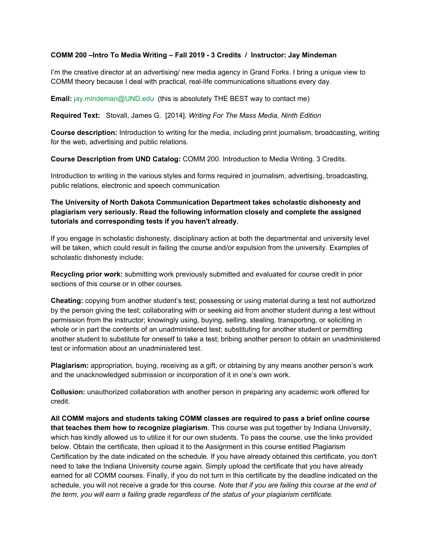### **COMM 200 –Intro To Media Writing – Fall 2019 - 3 Credits / Instructor: Jay Mindeman**

I'm the creative director at an advertising/ new media agency in Grand Forks. I bring a unique view to COMM theory because I deal with practical, real-life communications situations every day.

**Email:** jay.mindeman@UND.edu (this is absolutely THE BEST way to contact me)

**Required Text:** Stovall, James G. [2014]. *Writing For The Mass Media, Ninth Edition*

**Course description:** Introduction to writing for the media, including print journalism, broadcasting, writing for the web, advertising and public relations.

**Course Description from UND Catalog:** COMM 200. Introduction to Media Writing. 3 Credits.

Introduction to writing in the various styles and forms required in journalism, advertising, broadcasting, public relations, electronic and speech communication

# **The University of North Dakota Communication Department takes scholastic dishonesty and plagiarism very seriously. Read the following information closely and complete the assigned tutorials and corresponding tests if you haven't already.**

If you engage in scholastic dishonesty, disciplinary action at both the departmental and university level will be taken, which could result in failing the course and/or expulsion from the university. Examples of scholastic dishonesty include:

**Recycling prior work:** submitting work previously submitted and evaluated for course credit in prior sections of this course or in other courses.

**Cheating:** copying from another student's test; possessing or using material during a test not authorized by the person giving the test; collaborating with or seeking aid from another student during a test without permission from the instructor; knowingly using, buying, selling, stealing, transporting, or soliciting in whole or in part the contents of an unadministered test; substituting for another student or permitting another student to substitute for oneself to take a test; bribing another person to obtain an unadministered test or information about an unadministered test.

**Plagiarism:** appropriation, buying, receiving as a gift, or obtaining by any means another person's work and the unacknowledged submission or incorporation of it in one's own work.

**Collusion:** unauthorized collaboration with another person in preparing any academic work offered for credit.

**All COMM majors and students taking COMM classes are required to pass a brief online course that teaches them how to recognize plagiarism**. This course was put together by Indiana University, which has kindly allowed us to utilize it for our own students. To pass the course, use the links provided below. Obtain the certificate, then upload it to the Assignment in this course entitled Plagiarism Certification by the date indicated on the schedule. If you have already obtained this certificate, you don't need to take the Indiana University course again. Simply upload the certificate that you have already earned for all COMM courses. Finally, if you do not turn in this certificate by the deadline indicated on the schedule, you will not receive a grade for this course. *Note that if you are failing this course at the end of the term, you will earn a failing grade regardless of the status of your plagiarism certificate.*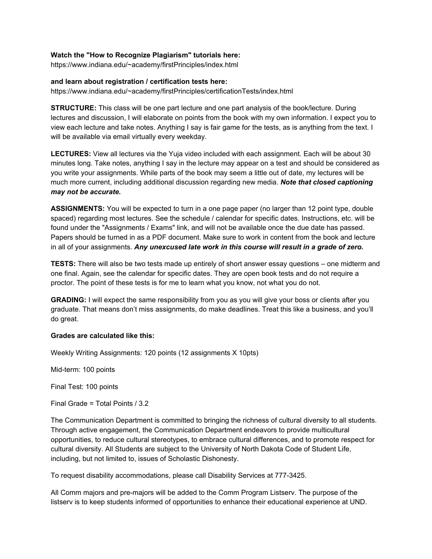### **Watch the "How to Recognize Plagiarism" tutorials here:**

https://www.indiana.edu/~academy/firstPrinciples/index.html

#### **and learn about registration / certification tests here:**

https://www.indiana.edu/~academy/firstPrinciples/certificationTests/index.html

**STRUCTURE:** This class will be one part lecture and one part analysis of the book/lecture. During lectures and discussion, I will elaborate on points from the book with my own information. I expect you to view each lecture and take notes. Anything I say is fair game for the tests, as is anything from the text. I will be available via email virtually every weekday.

**LECTURES:** View all lectures via the Yuja video included with each assignment. Each will be about 30 minutes long. Take notes, anything I say in the lecture may appear on a test and should be considered as you write your assignments. While parts of the book may seem a little out of date, my lectures will be much more current, including additional discussion regarding new media. *Note that closed captioning may not be accurate.*

**ASSIGNMENTS:** You will be expected to turn in a one page paper (no larger than 12 point type, double spaced) regarding most lectures. See the schedule / calendar for specific dates. Instructions, etc. will be found under the "Assignments / Exams" link, and will not be available once the due date has passed. Papers should be turned in as a PDF document. Make sure to work in content from the book and lecture in all of your assignments. *Any unexcused late work in this course will result in a grade of zero.*

**TESTS:** There will also be two tests made up entirely of short answer essay questions – one midterm and one final. Again, see the calendar for specific dates. They are open book tests and do not require a proctor. The point of these tests is for me to learn what you know, not what you do not.

**GRADING:** I will expect the same responsibility from you as you will give your boss or clients after you graduate. That means don't miss assignments, do make deadlines. Treat this like a business, and you'll do great.

## **Grades are calculated like this:**

Weekly Writing Assignments: 120 points (12 assignments X 10pts)

Mid-term: 100 points

Final Test: 100 points

Final Grade = Total Points / 3.2

The Communication Department is committed to bringing the richness of cultural diversity to all students. Through active engagement, the Communication Department endeavors to provide multicultural opportunities, to reduce cultural stereotypes, to embrace cultural differences, and to promote respect for cultural diversity. All Students are subject to the University of North Dakota Code of Student Life, including, but not limited to, issues of Scholastic Dishonesty.

To request disability accommodations, please call Disability Services at 777-3425.

All Comm majors and pre-majors will be added to the Comm Program Listserv. The purpose of the listserv is to keep students informed of opportunities to enhance their educational experience at UND.